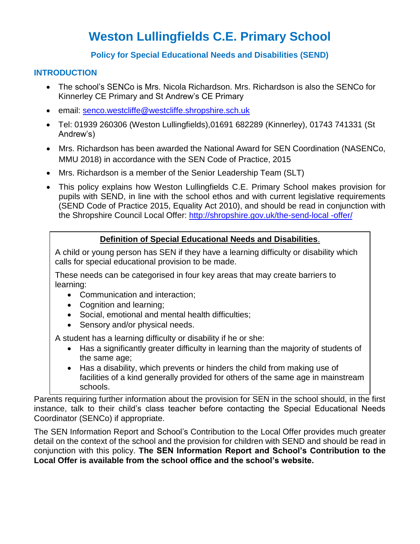# **Weston Lullingfields C.E. Primary School**

## **Policy for Special Educational Needs and Disabilities (SEND)**

## **INTRODUCTION**

- The school's SENCo is Mrs. Nicola Richardson. Mrs. Richardson is also the SENCo for Kinnerley CE Primary and St Andrew's CE Primary
- email: [senco.westcliffe@westcliffe.shropshire.sch.uk](mailto:senco.westcliffe@westcliffe.shropshire.sch.uk)
- Tel: 01939 260306 (Weston Lullingfields),01691 682289 (Kinnerley), 01743 741331 (St Andrew's)
- Mrs. Richardson has been awarded the National Award for SEN Coordination (NASENCo, MMU 2018) in accordance with the SEN Code of Practice, 2015
- Mrs. Richardson is a member of the Senior Leadership Team (SLT)
- This policy explains how Weston Lullingfields C.E. Primary School makes provision for pupils with SEND, in line with the school ethos and with current legislative requirements (SEND Code of Practice 2015, Equality Act 2010), and should be read in conjunction with the Shropshire Council Local Offer: [http://shropshire.gov.uk/the-send-local -offer/](http://shropshire.gov.uk/the-send-local%20-offer/)

## **Definition of Special Educational Needs and Disabilities**.

A child or young person has SEN if they have a learning difficulty or disability which calls for special educational provision to be made.

These needs can be categorised in four key areas that may create barriers to learning:

- Communication and interaction;
- Cognition and learning;
- Social, emotional and mental health difficulties;
- Sensory and/or physical needs.

A student has a learning difficulty or disability if he or she:

- Has a significantly greater difficulty in learning than the majority of students of the same age;
- Has a disability, which prevents or hinders the child from making use of facilities of a kind generally provided for others of the same age in mainstream schools.

Parents requiring further information about the provision for SEN in the school should, in the first instance, talk to their child's class teacher before contacting the Special Educational Needs Coordinator (SENCo) if appropriate.

The SEN Information Report and School's Contribution to the Local Offer provides much greater detail on the context of the school and the provision for children with SEND and should be read in conjunction with this policy. **The SEN Information Report and School's Contribution to the Local Offer is available from the school office and the school's website.**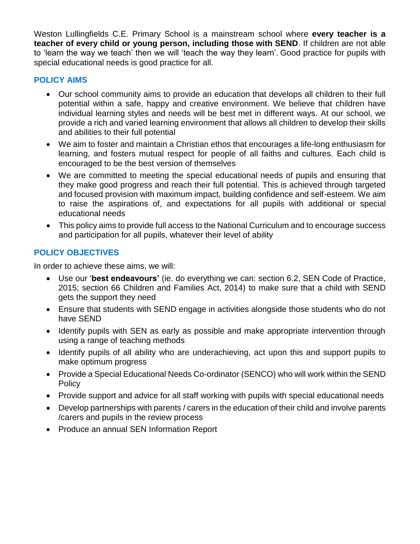Weston Lullingfields C.E. Primary School is a mainstream school where **every teacher is a teacher of every child or young person, including those with SEND**. If children are not able to 'learn the way we teach' then we will 'teach the way they learn'. Good practice for pupils with special educational needs is good practice for all.

## **POLICY AIMS**

- Our school community aims to provide an education that develops all children to their full potential within a safe, happy and creative environment. We believe that children have individual learning styles and needs will be best met in different ways. At our school, we provide a rich and varied learning environment that allows all children to develop their skills and abilities to their full potential
- We aim to foster and maintain a Christian ethos that encourages a life-long enthusiasm for learning, and fosters mutual respect for people of all faiths and cultures. Each child is encouraged to be the best version of themselves
- We are committed to meeting the special educational needs of pupils and ensuring that they make good progress and reach their full potential. This is achieved through targeted and focused provision with maximum impact, building confidence and self-esteem. We aim to raise the aspirations of, and expectations for all pupils with additional or special educational needs
- This policy aims to provide full access to the National Curriculum and to encourage success and participation for all pupils, whatever their level of ability

## **POLICY OBJECTIVES**

In order to achieve these aims, we will:

- Use our '**best endeavours'** (ie. do everything we can: section 6.2, SEN Code of Practice, 2015; section 66 Children and Families Act, 2014) to make sure that a child with SEND gets the support they need
- Ensure that students with SEND engage in activities alongside those students who do not have SEND
- Identify pupils with SEN as early as possible and make appropriate intervention through using a range of teaching methods
- Identify pupils of all ability who are underachieving, act upon this and support pupils to make optimum progress
- Provide a Special Educational Needs Co-ordinator (SENCO) who will work within the SEND Policy
- Provide support and advice for all staff working with pupils with special educational needs
- Develop partnerships with parents / carers in the education of their child and involve parents /carers and pupils in the review process
- Produce an annual SEN Information Report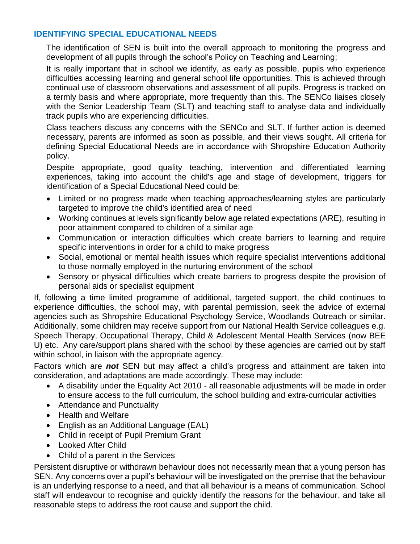### **IDENTIFYING SPECIAL EDUCATIONAL NEEDS**

The identification of SEN is built into the overall approach to monitoring the progress and development of all pupils through the school's Policy on Teaching and Learning;

It is really important that in school we identify, as early as possible, pupils who experience difficulties accessing learning and general school life opportunities. This is achieved through continual use of classroom observations and assessment of all pupils. Progress is tracked on a termly basis and where appropriate, more frequently than this. The SENCo liaises closely with the Senior Leadership Team (SLT) and teaching staff to analyse data and individually track pupils who are experiencing difficulties.

Class teachers discuss any concerns with the SENCo and SLT. If further action is deemed necessary, parents are informed as soon as possible, and their views sought. All criteria for defining Special Educational Needs are in accordance with Shropshire Education Authority policy.

Despite appropriate, good quality teaching, intervention and differentiated learning experiences, taking into account the child's age and stage of development, triggers for identification of a Special Educational Need could be:

- Limited or no progress made when teaching approaches/learning styles are particularly targeted to improve the child's identified area of need
- Working continues at levels significantly below age related expectations (ARE), resulting in poor attainment compared to children of a similar age
- Communication or interaction difficulties which create barriers to learning and require specific interventions in order for a child to make progress
- Social, emotional or mental health issues which require specialist interventions additional to those normally employed in the nurturing environment of the school
- Sensory or physical difficulties which create barriers to progress despite the provision of personal aids or specialist equipment

If, following a time limited programme of additional, targeted support, the child continues to experience difficulties, the school may, with parental permission, seek the advice of external agencies such as Shropshire Educational Psychology Service, Woodlands Outreach or similar. Additionally, some children may receive support from our National Health Service colleagues e.g. Speech Therapy, Occupational Therapy, Child & Adolescent Mental Health Services (now BEE U) etc. Any care/support plans shared with the school by these agencies are carried out by staff within school, in liaison with the appropriate agency.

Factors which are *not* SEN but may affect a child's progress and attainment are taken into consideration, and adaptations are made accordingly. These may include:

- A disability under the Equality Act 2010 all reasonable adjustments will be made in order to ensure access to the full curriculum, the school building and extra-curricular activities
- Attendance and Punctuality
- Health and Welfare
- English as an Additional Language (EAL)
- Child in receipt of Pupil Premium Grant
- Looked After Child
- Child of a parent in the Services

Persistent disruptive or withdrawn behaviour does not necessarily mean that a young person has SEN. Any concerns over a pupil's behaviour will be investigated on the premise that the behaviour is an underlying response to a need, and that all behaviour is a means of communication. School staff will endeavour to recognise and quickly identify the reasons for the behaviour, and take all reasonable steps to address the root cause and support the child.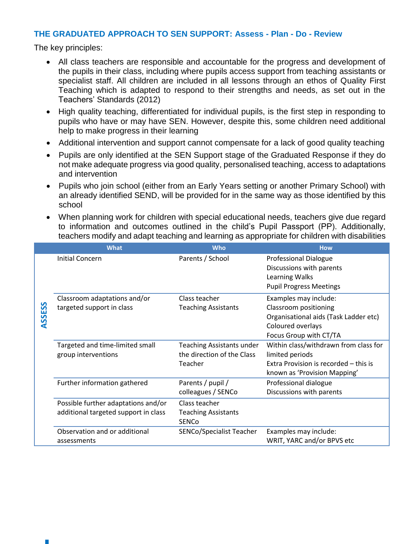#### **THE GRADUATED APPROACH TO SEN SUPPORT: Assess - Plan - Do - Review**

The key principles:

- All class teachers are responsible and accountable for the progress and development of the pupils in their class, including where pupils access support from teaching assistants or specialist staff. All children are included in all lessons through an ethos of Quality First Teaching which is adapted to respond to their strengths and needs, as set out in the Teachers' Standards (2012)
- High quality teaching, differentiated for individual pupils, is the first step in responding to pupils who have or may have SEN. However, despite this, some children need additional help to make progress in their learning
- Additional intervention and support cannot compensate for a lack of good quality teaching
- Pupils are only identified at the SEN Support stage of the Graduated Response if they do not make adequate progress via good quality, personalised teaching, access to adaptations and intervention
- Pupils who join school (either from an Early Years setting or another Primary School) with an already identified SEND, will be provided for in the same way as those identified by this school
- When planning work for children with special educational needs, teachers give due regard to information and outcomes outlined in the child's Pupil Passport (PP). Additionally, teachers modify and adapt teaching and learning as appropriate for children with disabilities

|            | <b>What</b>                                                                 | <b>Who</b>                                                                | <b>How</b>                                                                                                                             |
|------------|-----------------------------------------------------------------------------|---------------------------------------------------------------------------|----------------------------------------------------------------------------------------------------------------------------------------|
| SSESS<br>⋖ | Initial Concern                                                             | Parents / School                                                          | <b>Professional Dialogue</b><br>Discussions with parents<br>Learning Walks<br><b>Pupil Progress Meetings</b>                           |
|            | Classroom adaptations and/or<br>targeted support in class                   | Class teacher<br><b>Teaching Assistants</b>                               | Examples may include:<br>Classroom positioning<br>Organisational aids (Task Ladder etc)<br>Coloured overlays<br>Focus Group with CT/TA |
|            | Targeted and time-limited small<br>group interventions                      | <b>Teaching Assistants under</b><br>the direction of the Class<br>Teacher | Within class/withdrawn from class for<br>limited periods<br>Extra Provision is recorded – this is<br>known as 'Provision Mapping'      |
|            | Further information gathered                                                | Parents / pupil /<br>colleagues / SENCo                                   | Professional dialogue<br>Discussions with parents                                                                                      |
|            | Possible further adaptations and/or<br>additional targeted support in class | Class teacher<br><b>Teaching Assistants</b><br><b>SENCO</b>               |                                                                                                                                        |
|            | Observation and or additional<br>assessments                                | <b>SENCo/Specialist Teacher</b>                                           | Examples may include:<br>WRIT, YARC and/or BPVS etc                                                                                    |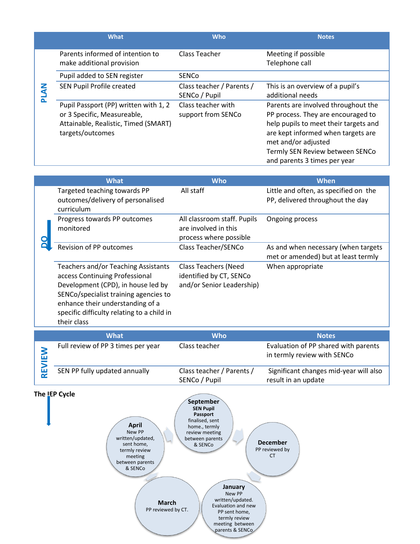|   | What                                                                                                                             | <b>Who</b>                                 | <b>Notes</b>                                                                                                                                                                                                                                       |
|---|----------------------------------------------------------------------------------------------------------------------------------|--------------------------------------------|----------------------------------------------------------------------------------------------------------------------------------------------------------------------------------------------------------------------------------------------------|
| ᇍ | Parents informed of intention to<br>make additional provision                                                                    | Class Teacher                              | Meeting if possible<br>Telephone call                                                                                                                                                                                                              |
|   | Pupil added to SEN register                                                                                                      | <b>SENCO</b>                               |                                                                                                                                                                                                                                                    |
|   | SEN Pupil Profile created                                                                                                        | Class teacher / Parents /<br>SENCo / Pupil | This is an overview of a pupil's<br>additional needs                                                                                                                                                                                               |
|   | Pupil Passport (PP) written with 1, 2<br>or 3 Specific, Measureable,<br>Attainable, Realistic, Timed (SMART)<br>targets/outcomes | Class teacher with<br>support from SENCo   | Parents are involved throughout the<br>PP process. They are encouraged to<br>help pupils to meet their targets and<br>are kept informed when targets are<br>met and/or adjusted<br>Termly SEN Review between SENCo<br>and parents 3 times per year |

|  | <b>What</b>                                                                                                                                                                                                                                           | <b>Who</b>                                                                          | <b>When</b>                                                                |
|--|-------------------------------------------------------------------------------------------------------------------------------------------------------------------------------------------------------------------------------------------------------|-------------------------------------------------------------------------------------|----------------------------------------------------------------------------|
|  | Targeted teaching towards PP<br>outcomes/delivery of personalised<br>curriculum                                                                                                                                                                       | All staff                                                                           | Little and often, as specified on the<br>PP, delivered throughout the day  |
|  | Progress towards PP outcomes<br>monitored                                                                                                                                                                                                             | All classroom staff. Pupils<br>are involved in this<br>process where possible       | Ongoing process                                                            |
|  | <b>Revision of PP outcomes</b>                                                                                                                                                                                                                        | Class Teacher/SENCo                                                                 | As and when necessary (when targets<br>met or amended) but at least termly |
|  | Teachers and/or Teaching Assistants<br>access Continuing Professional<br>Development (CPD), in house led by<br>SENCo/specialist training agencies to<br>enhance their understanding of a<br>specific difficulty relating to a child in<br>their class | <b>Class Teachers (Need</b><br>identified by CT, SENCo<br>and/or Senior Leadership) | When appropriate                                                           |

| <b>What</b>                        | <b>Who</b>                                 | <b>Notes</b>                                                        |
|------------------------------------|--------------------------------------------|---------------------------------------------------------------------|
| Full review of PP 3 times per year | Class teacher                              | Evaluation of PP shared with parents<br>in termly review with SENCo |
| SEN PP fully updated annually      | Class teacher / Parents /<br>SENCo / Pupil | Significant changes mid-year will also<br>result in an update       |



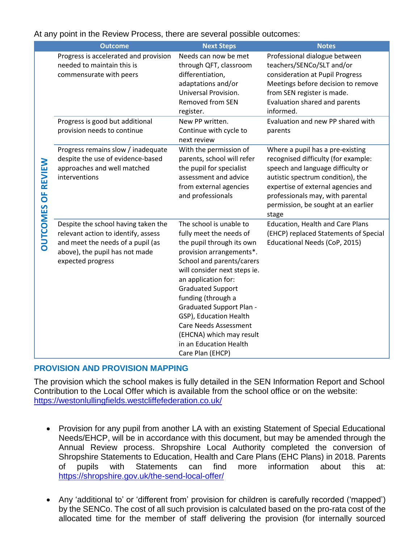|                           | <b>Outcome</b>                                                                                                                                                         | <b>Next Steps</b>                                                                                                                                                                                                                                                                                                                                                                                                        | <b>Notes</b>                                                                                                                                                                                                                                                                |
|---------------------------|------------------------------------------------------------------------------------------------------------------------------------------------------------------------|--------------------------------------------------------------------------------------------------------------------------------------------------------------------------------------------------------------------------------------------------------------------------------------------------------------------------------------------------------------------------------------------------------------------------|-----------------------------------------------------------------------------------------------------------------------------------------------------------------------------------------------------------------------------------------------------------------------------|
| <b>DUTCOMES OF REVIEW</b> | Progress is accelerated and provision<br>needed to maintain this is<br>commensurate with peers                                                                         | Needs can now be met<br>through QFT, classroom<br>differentiation,<br>adaptations and/or<br>Universal Provision.<br><b>Removed from SEN</b><br>register.                                                                                                                                                                                                                                                                 | Professional dialogue between<br>teachers/SENCo/SLT and/or<br>consideration at Pupil Progress<br>Meetings before decision to remove<br>from SEN register is made.<br>Evaluation shared and parents<br>informed.                                                             |
|                           | Progress is good but additional<br>provision needs to continue                                                                                                         | New PP written.<br>Continue with cycle to<br>next review                                                                                                                                                                                                                                                                                                                                                                 | Evaluation and new PP shared with<br>parents                                                                                                                                                                                                                                |
|                           | Progress remains slow / inadequate<br>despite the use of evidence-based<br>approaches and well matched<br>interventions                                                | With the permission of<br>parents, school will refer<br>the pupil for specialist<br>assessment and advice<br>from external agencies<br>and professionals                                                                                                                                                                                                                                                                 | Where a pupil has a pre-existing<br>recognised difficulty (for example:<br>speech and language difficulty or<br>autistic spectrum condition), the<br>expertise of external agencies and<br>professionals may, with parental<br>permission, be sought at an earlier<br>stage |
|                           | Despite the school having taken the<br>relevant action to identify, assess<br>and meet the needs of a pupil (as<br>above), the pupil has not made<br>expected progress | The school is unable to<br>fully meet the needs of<br>the pupil through its own<br>provision arrangements*.<br>School and parents/carers<br>will consider next steps ie.<br>an application for:<br><b>Graduated Support</b><br>funding (through a<br><b>Graduated Support Plan -</b><br>GSP), Education Health<br><b>Care Needs Assessment</b><br>(EHCNA) which may result<br>in an Education Health<br>Care Plan (EHCP) | <b>Education, Health and Care Plans</b><br>(EHCP) replaced Statements of Special<br>Educational Needs (CoP, 2015)                                                                                                                                                           |

### At any point in the Review Process, there are several possible outcomes:

#### **PROVISION AND PROVISION MAPPING**

The provision which the school makes is fully detailed in the SEN Information Report and School Contribution to the Local Offer which is available from the school office or on the website: <https://westonlullingfields.westcliffefederation.co.uk/>

- Provision for any pupil from another LA with an existing Statement of Special Educational Needs/EHCP, will be in accordance with this document, but may be amended through the Annual Review process. Shropshire Local Authority completed the conversion of Shropshire Statements to Education, Health and Care Plans (EHC Plans) in 2018. Parents of pupils with Statements can find more information about this at: <https://shropshire.gov.uk/the-send-local-offer/>
- Any 'additional to' or 'different from' provision for children is carefully recorded ('mapped') by the SENCo. The cost of all such provision is calculated based on the pro-rata cost of the allocated time for the member of staff delivering the provision (for internally sourced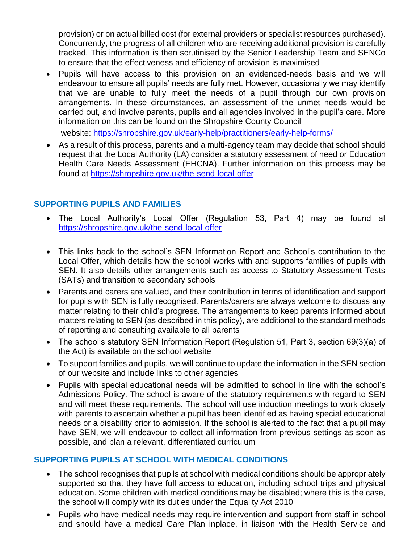provision) or on actual billed cost (for external providers or specialist resources purchased). Concurrently, the progress of all children who are receiving additional provision is carefully tracked. This information is then scrutinised by the Senior Leadership Team and SENCo to ensure that the effectiveness and efficiency of provision is maximised

 Pupils will have access to this provision on an evidenced-needs basis and we will endeavour to ensure all pupils' needs are fully met. However, occasionally we may identify that we are unable to fully meet the needs of a pupil through our own provision arrangements. In these circumstances, an assessment of the unmet needs would be carried out, and involve parents, pupils and all agencies involved in the pupil's care. More information on this can be found on the Shropshire County Council

website:<https://shropshire.gov.uk/early-help/practitioners/early-help-forms/>

 As a result of this process, parents and a multi-agency team may decide that school should request that the Local Authority (LA) consider a statutory assessment of need or Education Health Care Needs Assessment (EHCNA). Further information on this process may be found at<https://shropshire.gov.uk/the-send-local-offer>

## **SUPPORTING PUPILS AND FAMILIES**

- The Local Authority's Local Offer (Regulation 53, Part 4) may be found at <https://shropshire.gov.uk/the-send-local-offer>
- This links back to the school's SEN Information Report and School's contribution to the Local Offer, which details how the school works with and supports families of pupils with SEN. It also details other arrangements such as access to Statutory Assessment Tests (SATs) and transition to secondary schools
- Parents and carers are valued, and their contribution in terms of identification and support for pupils with SEN is fully recognised. Parents/carers are always welcome to discuss any matter relating to their child's progress. The arrangements to keep parents informed about matters relating to SEN (as described in this policy), are additional to the standard methods of reporting and consulting available to all parents
- The school's statutory SEN Information Report (Regulation 51, Part 3, section 69(3)(a) of the Act) is available on the school website
- To support families and pupils, we will continue to update the information in the SEN section of our website and include links to other agencies
- Pupils with special educational needs will be admitted to school in line with the school's Admissions Policy. The school is aware of the statutory requirements with regard to SEN and will meet these requirements. The school will use induction meetings to work closely with parents to ascertain whether a pupil has been identified as having special educational needs or a disability prior to admission. If the school is alerted to the fact that a pupil may have SEN, we will endeavour to collect all information from previous settings as soon as possible, and plan a relevant, differentiated curriculum

#### **SUPPORTING PUPILS AT SCHOOL WITH MEDICAL CONDITIONS**

- The school recognises that pupils at school with medical conditions should be appropriately supported so that they have full access to education, including school trips and physical education. Some children with medical conditions may be disabled; where this is the case, the school will comply with its duties under the Equality Act 2010
- Pupils who have medical needs may require intervention and support from staff in school and should have a medical Care Plan inplace, in liaison with the Health Service and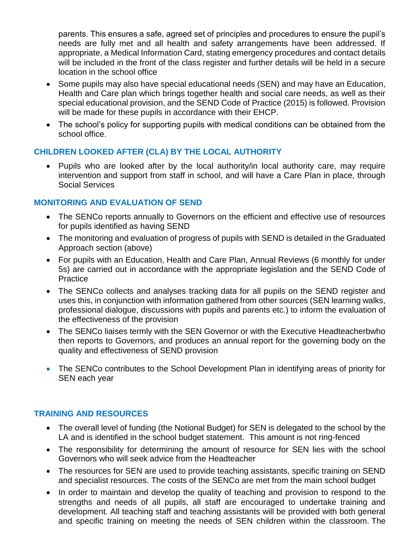parents. This ensures a safe, agreed set of principles and procedures to ensure the pupil's needs are fully met and all health and safety arrangements have been addressed. If appropriate, a Medical Information Card, stating emergency procedures and contact details will be included in the front of the class register and further details will be held in a secure location in the school office

- Some pupils may also have special educational needs (SEN) and may have an Education, Health and Care plan which brings together health and social care needs, as well as their special educational provision, and the SEND Code of Practice (2015) is followed. Provision will be made for these pupils in accordance with their EHCP.
- The school's policy for supporting pupils with medical conditions can be obtained from the school office.

## **CHILDREN LOOKED AFTER (CLA) BY THE LOCAL AUTHORITY**

 Pupils who are looked after by the local authority/in local authority care, may require intervention and support from staff in school, and will have a Care Plan in place, through Social Services

## **MONITORING AND EVALUATION OF SEND**

- The SENCo reports annually to Governors on the efficient and effective use of resources for pupils identified as having SEND
- The monitoring and evaluation of progress of pupils with SEND is detailed in the Graduated Approach section (above)
- For pupils with an Education, Health and Care Plan, Annual Reviews (6 monthly for under 5s) are carried out in accordance with the appropriate legislation and the SEND Code of Practice
- The SENCo collects and analyses tracking data for all pupils on the SEND register and uses this, in conjunction with information gathered from other sources (SEN learning walks, professional dialogue, discussions with pupils and parents etc.) to inform the evaluation of the effectiveness of the provision
- The SENCo liaises termly with the SEN Governor or with the Executive Headteacherbwho then reports to Governors, and produces an annual report for the governing body on the quality and effectiveness of SEND provision
- The SENCo contributes to the School Development Plan in identifying areas of priority for SEN each year

## **TRAINING AND RESOURCES**

- The overall level of funding (the Notional Budget) for SEN is delegated to the school by the LA and is identified in the school budget statement. This amount is not ring-fenced
- The responsibility for determining the amount of resource for SEN lies with the school Governors who will seek advice from the Headteacher
- The resources for SEN are used to provide teaching assistants, specific training on SEND and specialist resources. The costs of the SENCo are met from the main school budget
- In order to maintain and develop the quality of teaching and provision to respond to the strengths and needs of all pupils, all staff are encouraged to undertake training and development. All teaching staff and teaching assistants will be provided with both general and specific training on meeting the needs of SEN children within the classroom. The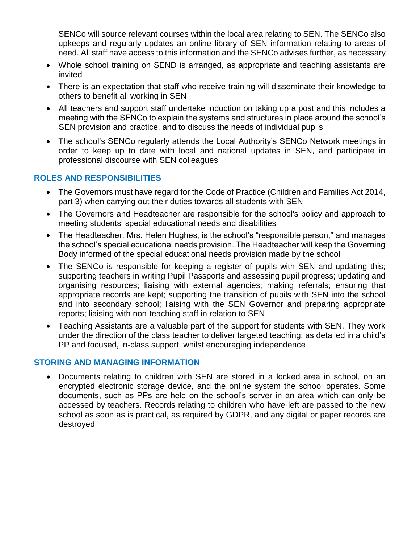SENCo will source relevant courses within the local area relating to SEN. The SENCo also upkeeps and regularly updates an online library of SEN information relating to areas of need. All staff have access to this information and the SENCo advises further, as necessary

- Whole school training on SEND is arranged, as appropriate and teaching assistants are invited
- There is an expectation that staff who receive training will disseminate their knowledge to others to benefit all working in SEN
- All teachers and support staff undertake induction on taking up a post and this includes a meeting with the SENCo to explain the systems and structures in place around the school's SEN provision and practice, and to discuss the needs of individual pupils
- The school's SENCo regularly attends the Local Authority's SENCo Network meetings in order to keep up to date with local and national updates in SEN, and participate in professional discourse with SEN colleagues

### **ROLES AND RESPONSIBILITIES**

- The Governors must have regard for the Code of Practice (Children and Families Act 2014, part 3) when carrying out their duties towards all students with SEN
- The Governors and Headteacher are responsible for the school's policy and approach to meeting students' special educational needs and disabilities
- The Headteacher, Mrs. Helen Hughes, is the school's "responsible person," and manages the school's special educational needs provision. The Headteacher will keep the Governing Body informed of the special educational needs provision made by the school
- The SENCo is responsible for keeping a register of pupils with SEN and updating this; supporting teachers in writing Pupil Passports and assessing pupil progress; updating and organising resources; liaising with external agencies; making referrals; ensuring that appropriate records are kept; supporting the transition of pupils with SEN into the school and into secondary school; liaising with the SEN Governor and preparing appropriate reports; liaising with non-teaching staff in relation to SEN
- Teaching Assistants are a valuable part of the support for students with SEN. They work under the direction of the class teacher to deliver targeted teaching, as detailed in a child's PP and focused, in-class support, whilst encouraging independence

#### **STORING AND MANAGING INFORMATION**

 Documents relating to children with SEN are stored in a locked area in school, on an encrypted electronic storage device, and the online system the school operates. Some documents, such as PPs are held on the school's server in an area which can only be accessed by teachers. Records relating to children who have left are passed to the new school as soon as is practical, as required by GDPR, and any digital or paper records are destroyed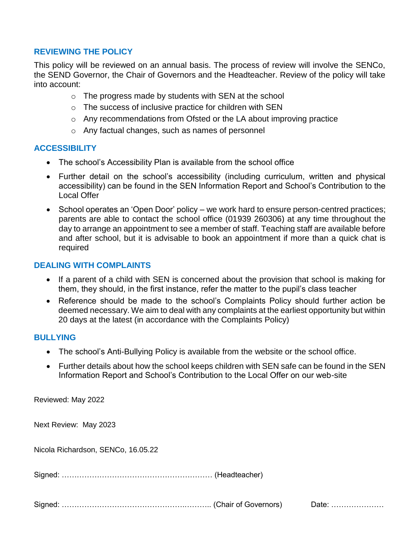#### **REVIEWING THE POLICY**

This policy will be reviewed on an annual basis. The process of review will involve the SENCo, the SEND Governor, the Chair of Governors and the Headteacher. Review of the policy will take into account:

- $\circ$  The progress made by students with SEN at the school
- o The success of inclusive practice for children with SEN
- o Any recommendations from Ofsted or the LA about improving practice
- o Any factual changes, such as names of personnel

#### **ACCESSIBILITY**

- The school's Accessibility Plan is available from the school office
- Further detail on the school's accessibility (including curriculum, written and physical accessibility) can be found in the SEN Information Report and School's Contribution to the Local Offer
- School operates an 'Open Door' policy we work hard to ensure person-centred practices; parents are able to contact the school office (01939 260306) at any time throughout the day to arrange an appointment to see a member of staff. Teaching staff are available before and after school, but it is advisable to book an appointment if more than a quick chat is required

#### **DEALING WITH COMPLAINTS**

- If a parent of a child with SEN is concerned about the provision that school is making for them, they should, in the first instance, refer the matter to the pupil's class teacher
- Reference should be made to the school's Complaints Policy should further action be deemed necessary. We aim to deal with any complaints at the earliest opportunity but within 20 days at the latest (in accordance with the Complaints Policy)

#### **BULLYING**

- The school's Anti-Bullying Policy is available from the website or the school office.
- Further details about how the school keeps children with SEN safe can be found in the SEN Information Report and School's Contribution to the Local Offer on our web-site

Reviewed: May 2022

Next Review: May 2023

Nicola Richardson, SENCo, 16.05.22

Signed: …………………………………………………… (Headteacher)

Signed: ………………………………………….……….. (Chair of Governors) Date: …………………